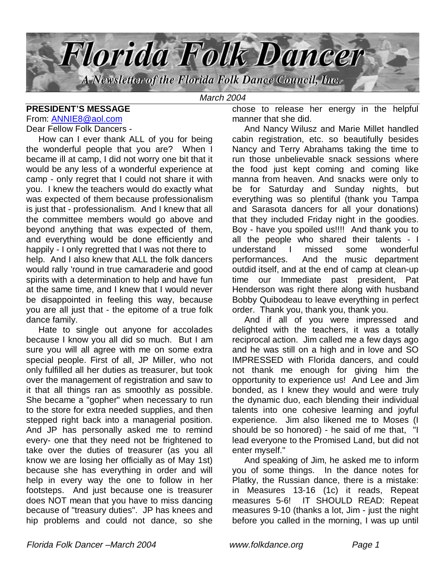

# **PRESIDENT'S MESSAGE**

From: ANNIE8@aol.com

Dear Fellow Folk Dancers -

 How can I ever thank ALL of you for being the wonderful people that you are? When I became ill at camp, I did not worry one bit that it would be any less of a wonderful experience at camp - only regret that I could not share it with you. I knew the teachers would do exactly what was expected of them because professionalism is just that - professionalism. And I knew that all the committee members would go above and beyond anything that was expected of them, and everything would be done efficiently and happily - I only regretted that I was not there to help. And I also knew that ALL the folk dancers would rally 'round in true camaraderie and good spirits with a determination to help and have fun at the same time, and I knew that I would never be disappointed in feeling this way, because you are all just that - the epitome of a true folk dance family.

 Hate to single out anyone for accolades because I know you all did so much. But I am sure you will all agree with me on some extra special people. First of all, JP Miller, who not only fulfilled all her duties as treasurer, but took over the management of registration and saw to it that all things ran as smoothly as possible. She became a "gopher" when necessary to run to the store for extra needed supplies, and then stepped right back into a managerial position. And JP has personally asked me to remind every- one that they need not be frightened to take over the duties of treasurer (as you all know we are losing her officially as of May 1st) because she has everything in order and will help in every way the one to follow in her footsteps. And just because one is treasurer does NOT mean that you have to miss dancing because of "treasury duties". JP has knees and hip problems and could not dance, so she

chose to release her energy in the helpful manner that she did.

 And Nancy Wilusz and Marie Millet handled cabin registration, etc. so beautifully besides Nancy and Terry Abrahams taking the time to run those unbelievable snack sessions where the food just kept coming and coming like manna from heaven. And snacks were only to be for Saturday and Sunday nights, but everything was so plentiful (thank you Tampa and Sarasota dancers for all your donations) that they included Friday night in the goodies. Boy - have you spoiled us!!!! And thank you to all the people who shared their talents - I understand I missed some wonderful performances. And the music department outdid itself, and at the end of camp at clean-up time our Immediate past president, Pat Henderson was right there along with husband Bobby Quibodeau to leave everything in perfect order. Thank you, thank you, thank you.

 And if all of you were impressed and delighted with the teachers, it was a totally reciprocal action. Jim called me a few days ago and he was still on a high and in love and SO IMPRESSED with Florida dancers, and could not thank me enough for giving him the opportunity to experience us! And Lee and Jim bonded, as I knew they would and were truly the dynamic duo, each blending their individual talents into one cohesive learning and joyful experience. Jim also likened me to Moses (I should be so honored) - he said of me that, "I lead everyone to the Promised Land, but did not enter myself."

 And speaking of Jim, he asked me to inform you of some things. In the dance notes for Platky, the Russian dance, there is a mistake: in Measures 13-16 (1c) it reads, Repeat measures 5-6! IT SHOULD READ: Repeat measures 9-10 (thanks a lot, Jim - just the night before you called in the morning, I was up until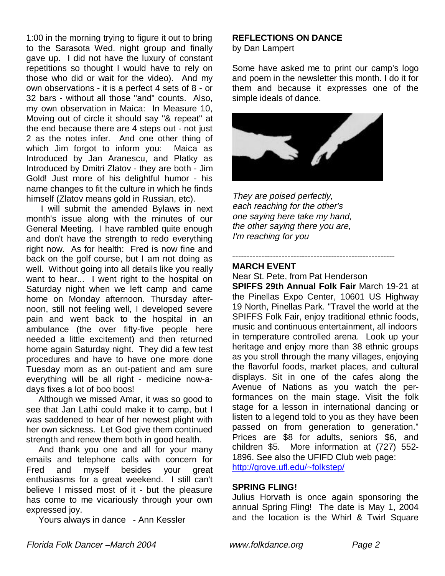1:00 in the morning trying to figure it out to bring to the Sarasota Wed. night group and finally gave up. I did not have the luxury of constant repetitions so thought I would have to rely on those who did or wait for the video). And my own observations - it is a perfect 4 sets of 8 - or 32 bars - without all those "and" counts. Also, my own observation in Maica: In Measure 10, Moving out of circle it should say "& repeat" at the end because there are 4 steps out - not just 2 as the notes infer. And one other thing of which Jim forgot to inform you: Maica as Introduced by Jan Aranescu, and Platky as Introduced by Dmitri Zlatov - they are both - Jim Gold! Just more of his delightful humor - his name changes to fit the culture in which he finds himself (Zlatov means gold in Russian, etc).

 I will submit the amended Bylaws in next month's issue along with the minutes of our General Meeting. I have rambled quite enough and don't have the strength to redo everything right now. As for health: Fred is now fine and back on the golf course, but I am not doing as well. Without going into all details like you really want to hear... I went right to the hospital on Saturday night when we left camp and came home on Monday afternoon. Thursday afternoon, still not feeling well, I developed severe pain and went back to the hospital in an ambulance (the over fifty-five people here needed a little excitement) and then returned home again Saturday night. They did a few test procedures and have to have one more done Tuesday morn as an out-patient and am sure everything will be all right - medicine now-adays fixes a lot of boo boos!

 Although we missed Amar, it was so good to see that Jan Lathi could make it to camp, but I was saddened to hear of her newest plight with her own sickness. Let God give them continued strength and renew them both in good health.

 And thank you one and all for your many emails and telephone calls with concern for Fred and myself besides your great enthusiasms for a great weekend. I still can't believe I missed most of it - but the pleasure has come to me vicariously through your own expressed joy.

Yours always in dance - Ann Kessler

# **REFLECTIONS ON DANCE**

by Dan Lampert

Some have asked me to print our camp's logo and poem in the newsletter this month. I do it for them and because it expresses one of the simple ideals of dance.



They are poised perfectly, each reaching for the other's one saying here take my hand, the other saying there you are, I'm reaching for you

#### -------------------------------------------------------- **MARCH EVENT**

Near St. Pete, from Pat Henderson

**SPIFFS 29th Annual Folk Fair** March 19-21 at the Pinellas Expo Center, 10601 US Highway 19 North, Pinellas Park. "Travel the world at the SPIFFS Folk Fair, enjoy traditional ethnic foods, music and continuous entertainment, all indoors in temperature controlled arena. Look up your heritage and enjoy more than 38 ethnic groups as you stroll through the many villages, enjoying the flavorful foods, market places, and cultural displays. Sit in one of the cafes along the Avenue of Nations as you watch the performances on the main stage. Visit the folk stage for a lesson in international dancing or listen to a legend told to you as they have been passed on from generation to generation." Prices are \$8 for adults, seniors \$6, and children \$5. More information at (727) 552- 1896. See also the UFIFD Club web page: http://grove.ufl.edu/~folkstep/

#### **SPRING FLING!**

Julius Horvath is once again sponsoring the annual Spring Fling! The date is May 1, 2004 and the location is the Whirl & Twirl Square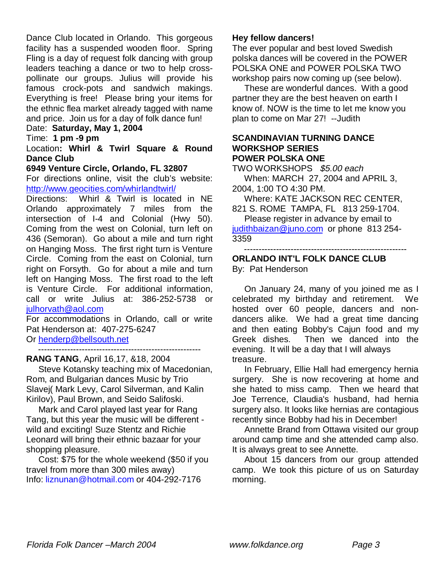Dance Club located in Orlando. This gorgeous facility has a suspended wooden floor. Spring Fling is a day of request folk dancing with group leaders teaching a dance or two to help crosspollinate our groups. Julius will provide his famous crock-pots and sandwich makings. Everything is free! Please bring your items for the ethnic flea market already tagged with name and price. Join us for a day of folk dance fun!

# Date: **Saturday, May 1, 2004**

## Time: **1 pm -9 pm**

Location**: Whirl & Twirl Square & Round Dance Club**

#### **6949 Venture Circle, Orlando, FL 32807**

For directions online, visit the club's website: http://www.geocities.com/whirlandtwirl/

Directions: Whirl & Twirl is located in NE Orlando approximately 7 miles from the intersection of I-4 and Colonial (Hwy 50). Coming from the west on Colonial, turn left on 436 (Semoran). Go about a mile and turn right on Hanging Moss. The first right turn is Venture Circle. Coming from the east on Colonial, turn right on Forsyth. Go for about a mile and turn left on Hanging Moss. The first road to the left is Venture Circle. For additional information, call or write Julius at: 386-252-5738 or julhorvath@aol.com

For accommodations in Orlando, call or write Pat Henderson at: 407-275-6247

Or henderp@bellsouth.net --------------------------------------------------------

**RANG TANG**, April 16,17, &18, 2004

 Steve Kotansky teaching mix of Macedonian, Rom, and Bulgarian dances Music by Trio Slavej( Mark Levy, Carol Silverman, and Kalin Kirilov), Paul Brown, and Seido Salifoski.

 Mark and Carol played last year for Rang Tang, but this year the music will be different wild and exciting! Suze Stentz and Richie Leonard will bring their ethnic bazaar for your shopping pleasure.

 Cost: \$75 for the whole weekend (\$50 if you travel from more than 300 miles away) Info: liznunan@hotmail.com or 404-292-7176

### **Hey fellow dancers!**

The ever popular and best loved Swedish polska dances will be covered in the POWER POLSKA ONE and POWER POLSKA TWO workshop pairs now coming up (see below).

 These are wonderful dances. With a good partner they are the best heaven on earth I know of. NOW is the time to let me know you plan to come on Mar 27! --Judith

#### **SCANDINAVIAN TURNING DANCE WORKSHOP SERIES POWER POLSKA ONE**

TWO WORKSHOPS \$5.00 each When: MARCH 27, 2004 and APRIL 3, 2004, 1:00 TO 4:30 PM.

 Where: KATE JACKSON REC CENTER, 821 S. ROME TAMPA, FL 813 259-1704.

 Please register in advance by email to judithbaizan@juno.com or phone 813 254- 3359

--------------------------------------------------------

**ORLANDO INT'L FOLK DANCE CLUB** By: Pat Henderson

 On January 24, many of you joined me as I celebrated my birthday and retirement. We hosted over 60 people, dancers and nondancers alike. We had a great time dancing and then eating Bobby's Cajun food and my Greek dishes. Then we danced into the evening. It will be a day that I will always treasure.

 In February, Ellie Hall had emergency hernia surgery. She is now recovering at home and she hated to miss camp. Then we heard that Joe Terrence, Claudia's husband, had hernia surgery also. It looks like hernias are contagious recently since Bobby had his in December!

 Annette Brand from Ottawa visited our group around camp time and she attended camp also. It is always great to see Annette.

 About 15 dancers from our group attended camp. We took this picture of us on Saturday morning.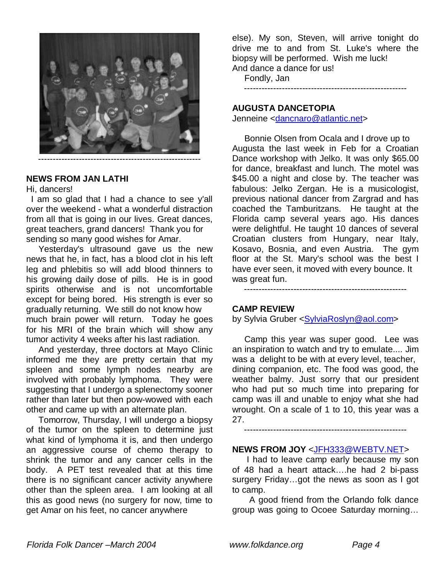

### **NEWS FROM JAN LATHI**

#### Hi, dancers!

 I am so glad that I had a chance to see y'all over the weekend - what a wonderful distraction from all that is going in our lives. Great dances, great teachers, grand dancers! Thank you for sending so many good wishes for Amar.

 Yesterday's ultrasound gave us the new news that he, in fact, has a blood clot in his left leg and phlebitis so will add blood thinners to his growing daily dose of pills. He is in good spirits otherwise and is not uncomfortable except for being bored. His strength is ever so gradually returning. We still do not know how much brain power will return. Today he goes for his MRI of the brain which will show any tumor activity 4 weeks after his last radiation.

 And yesterday, three doctors at Mayo Clinic informed me they are pretty certain that my spleen and some lymph nodes nearby are involved with probably lymphoma. They were suggesting that I undergo a splenectomy sooner rather than later but then pow-wowed with each other and came up with an alternate plan.

 Tomorrow, Thursday, I will undergo a biopsy of the tumor on the spleen to determine just what kind of lymphoma it is, and then undergo an aggressive course of chemo therapy to shrink the tumor and any cancer cells in the body. A PET test revealed that at this time there is no significant cancer activity anywhere other than the spleen area. I am looking at all this as good news (no surgery for now, time to get Amar on his feet, no cancer anywhere

else). My son, Steven, will arrive tonight do drive me to and from St. Luke's where the biopsy will be performed. Wish me luck! And dance a dance for us!

Fondly, Jan

--------------------------------------------------------

#### **AUGUSTA DANCETOPIA**

Jenneine <dancnaro@atlantic.net>

 Bonnie Olsen from Ocala and I drove up to Augusta the last week in Feb for a Croatian Dance workshop with Jelko. It was only \$65.00 for dance, breakfast and lunch. The motel was \$45.00 a night and close by. The teacher was fabulous: Jelko Zergan. He is a musicologist, previous national dancer from Zargrad and has coached the Tamburitzans. He taught at the Florida camp several years ago. His dances were delightful. He taught 10 dances of several Croatian clusters from Hungary, near Italy, Kosavo, Bosnia, and even Austria. The gym floor at the St. Mary's school was the best I have ever seen, it moved with every bounce. It was great fun.

--------------------------------------------------------

### **CAMP REVIEW**

by Sylvia Gruber <SylviaRoslyn@aol.com>

 Camp this year was super good. Lee was an inspiration to watch and try to emulate.... Jim was a delight to be with at every level, teacher, dining companion, etc. The food was good, the weather balmy. Just sorry that our president who had put so much time into preparing for camp was ill and unable to enjoy what she had wrought. On a scale of 1 to 10, this year was a 27.

--------------------------------------------------------

### **NEWS FROM JOY** <JFH333@WEBTV.NET>

 I had to leave camp early because my son of 48 had a heart attack….he had 2 bi-pass surgery Friday…got the news as soon as I got to camp.

 A good friend from the Orlando folk dance group was going to Ocoee Saturday morning…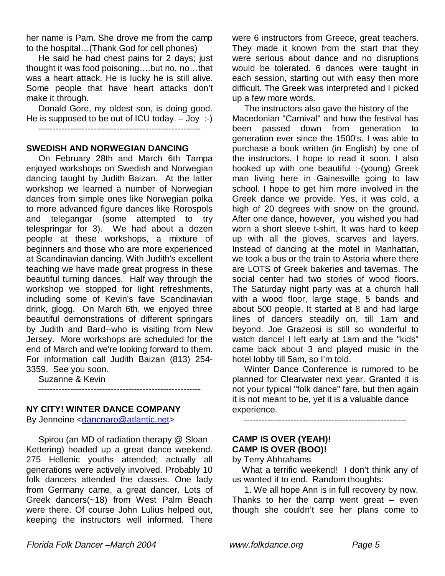her name is Pam. She drove me from the camp to the hospital…(Thank God for cell phones)

 He said he had chest pains for 2 days; just thought it was food poisoning….but no, no…that was a heart attack. He is lucky he is still alive. Some people that have heart attacks don't make it through.

 Donald Gore, my oldest son, is doing good. He is supposed to be out of ICU today. – Joy :-) --------------------------------------------------------

#### **SWEDISH AND NORWEGIAN DANCING**

 On February 28th and March 6th Tampa enjoyed workshops on Swedish and Norwegian dancing taught by Judith Baizan. At the latter workshop we learned a number of Norwegian dances from simple ones like Norwegian polka to more advanced figure dances like Rorospols and telegangar (some attempted to try telespringar for 3). We had about a dozen people at these workshops, a mixture of beginners and those who are more experienced at Scandinavian dancing. With Judith's excellent teaching we have made great progress in these beautiful turning dances. Half way through the workshop we stopped for light refreshments, including some of Kevin's fave Scandinavian drink, glogg. On March 6th, we enjoyed three beautiful demonstrations of different springars by Judith and Bard--who is visiting from New Jersey. More workshops are scheduled for the end of March and we're looking forward to them. For information call Judith Baizan (813) 254- 3359. See you soon.

Suzanne & Kevin

--------------------------------------------------------

## **NY CITY! WINTER DANCE COMPANY**

By Jenneine <dancnaro@atlantic.net>

 Spirou (an MD of radiation therapy @ Sloan Kettering) headed up a great dance weekend. 275 Hellenic youths attended; actually all generations were actively involved. Probably 10 folk dancers attended the classes. One lady from Germany came, a great dancer. Lots of Greek dancers(~18) from West Palm Beach were there. Of course John Lulius helped out, keeping the instructors well informed. There were 6 instructors from Greece, great teachers. They made it known from the start that they were serious about dance and no disruptions would be tolerated. 6 dances were taught in each session, starting out with easy then more difficult. The Greek was interpreted and I picked up a few more words.

 The instructors also gave the history of the Macedonian "Carnival" and how the festival has been passed down from generation to generation ever since the 1500's. I was able to purchase a book written (in English) by one of the instructors. I hope to read it soon. I also hooked up with one beautiful :-(young) Greek man living here in Gainesville going to law school. I hope to get him more involved in the Greek dance we provide. Yes, it was cold, a high of 20 degrees with snow on the ground. After one dance, however, you wished you had worn a short sleeve t-shirt. It was hard to keep up with all the gloves, scarves and layers. Instead of dancing at the motel in Manhattan, we took a bus or the train to Astoria where there are LOTS of Greek bakeries and tavernas. The social center had two stories of wood floors. The Saturday night party was at a church hall with a wood floor, large stage, 5 bands and about 500 people. It started at 8 and had large lines of dancers steadily on, till 1am and beyond. Joe Grazeosi is still so wonderful to watch dance! I left early at 1am and the "kids" came back about 3 and played music in the hotel lobby till 5am, so I'm told.

 Winter Dance Conference is rumored to be planned for Clearwater next year. Granted it is not your typical "folk dance" fare, but then again it is not meant to be, yet it is a valuable dance experience.

--------------------------------------------------------

# **CAMP IS OVER (YEAH)! CAMP IS OVER (BOO)!**

by Terry Abhrahams

What a terrific weekend! I don't think any of us wanted it to end. Random thoughts:

 1. We all hope Ann is in full recovery by now. Thanks to her the camp went great  $-$  even though she couldn't see her plans come to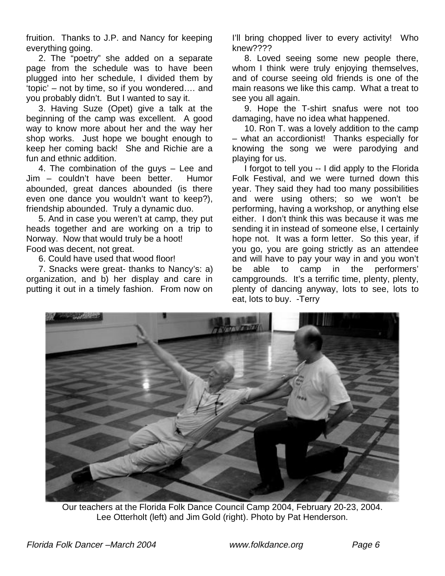fruition. Thanks to J.P. and Nancy for keeping everything going.

 2. The "poetry" she added on a separate page from the schedule was to have been plugged into her schedule, I divided them by 'topic' – not by time, so if you wondered…. and you probably didn't. But I wanted to say it.

 3. Having Suze (Opet) give a talk at the beginning of the camp was excellent. A good way to know more about her and the way her shop works. Just hope we bought enough to keep her coming back! She and Richie are a fun and ethnic addition.

 4. The combination of the guys – Lee and Jim – couldn't have been better. Humor abounded, great dances abounded (is there even one dance you wouldn't want to keep?), friendship abounded. Truly a dynamic duo.

 5. And in case you weren't at camp, they put heads together and are working on a trip to Norway. Now that would truly be a hoot! Food was decent, not great.

6. Could have used that wood floor!

 7. Snacks were great- thanks to Nancy's: a) organization, and b) her display and care in putting it out in a timely fashion. From now on

I'll bring chopped liver to every activity! Who knew????

 8. Loved seeing some new people there, whom I think were truly enjoying themselves, and of course seeing old friends is one of the main reasons we like this camp. What a treat to see you all again.

 9. Hope the T-shirt snafus were not too damaging, have no idea what happened.

 10. Ron T. was a lovely addition to the camp – what an accordionist! Thanks especially for knowing the song we were parodying and playing for us.

 I forgot to tell you -- I did apply to the Florida Folk Festival, and we were turned down this year. They said they had too many possibilities and were using others; so we won't be performing, having a workshop, or anything else either. I don't think this was because it was me sending it in instead of someone else, I certainly hope not. It was a form letter. So this year, if you go, you are going strictly as an attendee and will have to pay your way in and you won't be able to camp in the performers' campgrounds. It's a terrific time, plenty, plenty, plenty of dancing anyway, lots to see, lots to eat, lots to buy. -Terry



Our teachers at the Florida Folk Dance Council Camp 2004, February 20-23, 2004. Lee Otterholt (left) and Jim Gold (right). Photo by Pat Henderson.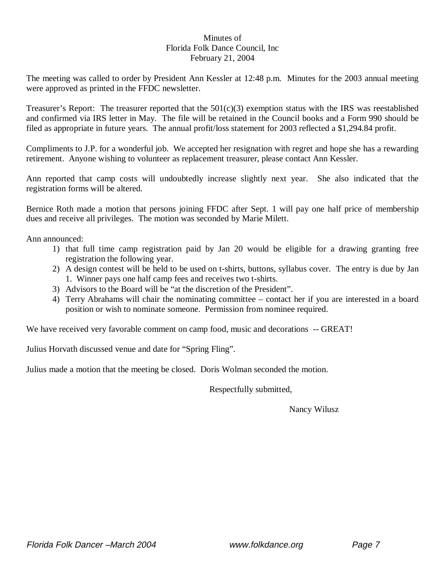### Minutes of Florida Folk Dance Council, Inc February 21, 2004

The meeting was called to order by President Ann Kessler at 12:48 p.m. Minutes for the 2003 annual meeting were approved as printed in the FFDC newsletter.

Treasurer's Report: The treasurer reported that the  $501(c)(3)$  exemption status with the IRS was reestablished and confirmed via IRS letter in May. The file will be retained in the Council books and a Form 990 should be filed as appropriate in future years. The annual profit/loss statement for 2003 reflected a \$1,294.84 profit.

Compliments to J.P. for a wonderful job. We accepted her resignation with regret and hope she has a rewarding retirement. Anyone wishing to volunteer as replacement treasurer, please contact Ann Kessler.

Ann reported that camp costs will undoubtedly increase slightly next year. She also indicated that the registration forms will be altered.

Bernice Roth made a motion that persons joining FFDC after Sept. 1 will pay one half price of membership dues and receive all privileges. The motion was seconded by Marie Milett.

Ann announced:

- 1) that full time camp registration paid by Jan 20 would be eligible for a drawing granting free registration the following year.
- 2) A design contest will be held to be used on t-shirts, buttons, syllabus cover. The entry is due by Jan 1. Winner pays one half camp fees and receives two t-shirts.
- 3) Advisors to the Board will be "at the discretion of the President".
- 4) Terry Abrahams will chair the nominating committee contact her if you are interested in a board position or wish to nominate someone. Permission from nominee required.

We have received very favorable comment on camp food, music and decorations -- GREAT!

Julius Horvath discussed venue and date for "Spring Fling".

Julius made a motion that the meeting be closed. Doris Wolman seconded the motion.

Respectfully submitted,

Nancy Wilusz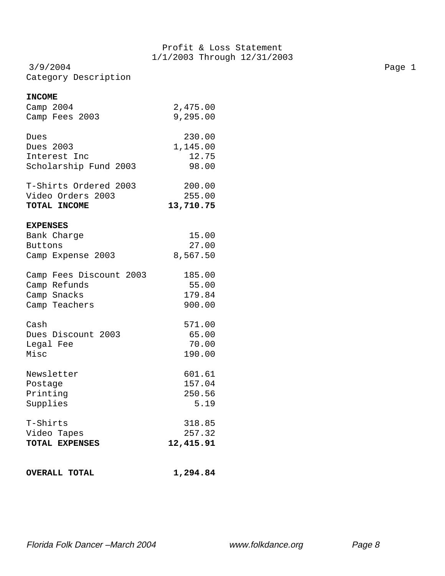3/9/2004 Page 1 Category Description

#### **INCOME**

| <b>OVERALL TOTAL</b>                                                  | 1,294.84                   |
|-----------------------------------------------------------------------|----------------------------|
| T-Shirts                                                              | 318.85                     |
| Video Tapes                                                           | 257.32                     |
| TOTAL EXPENSES                                                        | 12,415.91                  |
| Newsletter                                                            | 601.61                     |
| Postage                                                               | 157.04                     |
| Printing                                                              | 250.56                     |
| Supplies                                                              | 5.19                       |
| Cash                                                                  | 571.00                     |
| Dues Discount 2003                                                    | 65.00                      |
| Legal Fee                                                             | 70.00                      |
| Misc                                                                  | 190.00                     |
| Camp Fees Discount 2003                                               | 185.00                     |
| Camp Refunds                                                          | 55.00                      |
| Camp Snacks                                                           | 179.84                     |
| Camp Teachers                                                         | 900.00                     |
| <b>EXPENSES</b><br>Bank Charge<br><b>Buttons</b><br>Camp Expense 2003 | 15.00<br>27.00<br>8,567.50 |
| T-Shirts Ordered 2003                                                 | 200.00                     |
| Video Orders 2003                                                     | 255.00                     |
| TOTAL INCOME                                                          | 13,710.75                  |
| Dues                                                                  | 230.00                     |
| Dues 2003                                                             | 1,145.00                   |
| Interest Inc                                                          | 12.75                      |
| Scholarship Fund 2003                                                 | 98.00                      |
| Camp 2004                                                             | 2,475.00                   |
| Camp Fees 2003                                                        | 9,295.00                   |